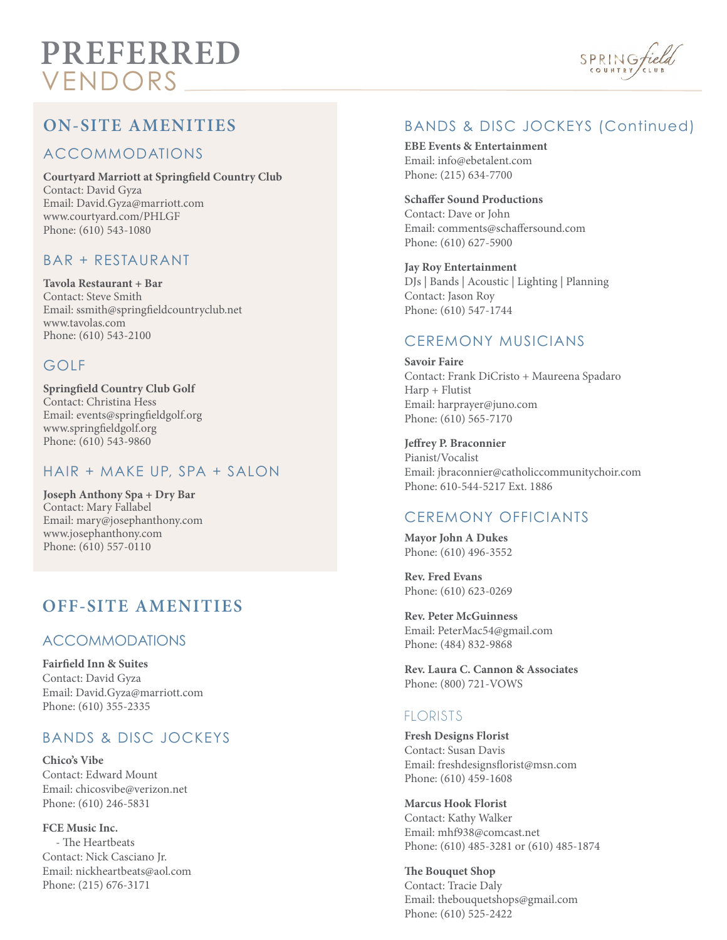# **PREFERRED** VENDORS



# **ON-SITE AMENITIES**

#### ACCOMMODATIONS

**Courtyard Marriott at Springfield Country Club** Contact: David Gyza Email: David.Gyza@marriott.com www.courtyard.com/PHLGF Phone: (610) 543-1080

#### BAR + RESTAURANT

**Tavola Restaurant + Bar** Contact: Steve Smith Email: ssmith@springfieldcountryclub.net www.tavolas.com Phone: (610) 543-2100

#### GOLF

**Springfield Country Club Golf** Contact: Christina Hess Email: events@springfieldgolf.org www.springfieldgolf.org Phone: (610) 543-9860

#### HAIR + MAKE UP, SPA + SALON

**Joseph Anthony Spa + Dry Bar** Contact: Mary Fallabel Email: mary@josephanthony.com www.josephanthony.com Phone: (610) 557-0110

# **OFF-SITE AMENITIES**

#### ACCOMMODATIONS

**Faireld Inn & Suites** Contact: David Gyza Email: David.Gyza@marriott.com Phone: (610) 355-2335

# BANDS & DISC JOCKEYS

**Chico's Vibe** Contact: Edward Mount Email: chicosvibe@verizon.net Phone: (610) 246-5831

**FCE Music Inc.** - The Heartbeats Contact: Nick Casciano Jr. Email: nickheartbeats@aol.com Phone: (215) 676-3171

## BANDS & DISC JOCKEYS (Continued)

**EBE Events & Entertainment** Email: info@ebetalent.com Phone: (215) 634-7700

**Schaffer Sound Productions** Contact: Dave or John Email: comments@schaffersound.com

Phone: (610) 627-5900

**Jay Roy Entertainment** DJs | Bands | Acoustic | Lighting | Planning Contact: Jason Roy Phone: (610) 547-1744

#### CEREMONY MUSICIANS

**Savoir Faire** Contact: Frank DiCristo + Maureena Spadaro Harp + Flutist Email: harprayer@juno.com Phone: (610) 565-7170

**Jeffrey P. Braconnier** Pianist/Vocalist Email: jbraconnier@catholiccommunitychoir.com Phone: 610-544-5217 Ext. 1886

### CEREMONY OFFICIANTS

**Mayor John A Dukes** Phone: (610) 496-3552

**Rev. Fred Evans** Phone: (610) 623-0269

**Rev. Peter McGuinness** Email: PeterMac54@gmail.com Phone: (484) 832-9868

**Rev. Laura C. Cannon & Associates** Phone: (800) 721-VOWS

#### FLORISTS

**Fresh Designs Florist** Contact: Susan Davis Email: freshdesignsflorist@msn.com Phone: (610) 459-1608

**Marcus Hook Florist** Contact: Kathy Walker Email: mhf938@comcast.net Phone: (610) 485-3281 or (610) 485-1874

**e Bouquet Shop** Contact: Tracie Daly Email: thebouquetshops@gmail.com Phone: (610) 525-2422